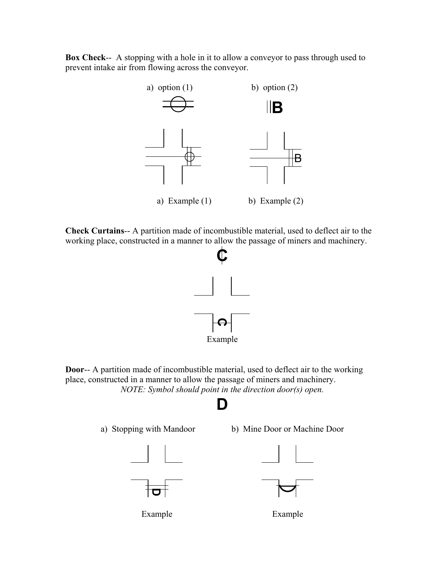**Box Check**-- A stopping with a hole in it to allow a conveyor to pass through used to prevent intake air from flowing across the conveyor.



**Check Curtains**-- A partition made of incombustible material, used to deflect air to the working place, constructed in a manner to allow the passage of miners and machinery.



**Door**-- A partition made of incombustible material, used to deflect air to the working place, constructed in a manner to allow the passage of miners and machinery. *NOTE: Symbol should point in the direction door(s) open.*

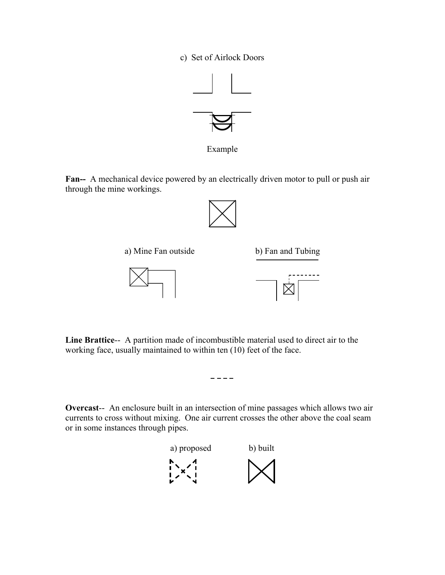c) Set of Airlock Doors



Example

**Fan--** A mechanical device powered by an electrically driven motor to pull or push air through the mine workings.





**Line Brattice**-- A partition made of incombustible material used to direct air to the working face, usually maintained to within ten (10) feet of the face.

**Overcast**-- An enclosure built in an intersection of mine passages which allows two air currents to cross without mixing. One air current crosses the other above the coal seam or in some instances through pipes.

 $- - - -$ 

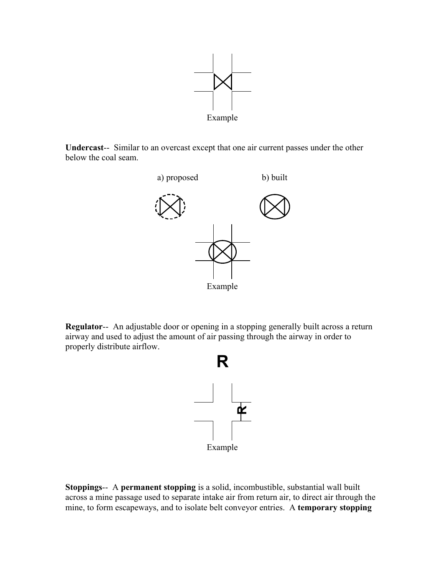

**Undercast**-- Similar to an overcast except that one air current passes under the other below the coal seam.



**Regulator**-- An adjustable door or opening in a stopping generally built across a return airway and used to adjust the amount of air passing through the airway in order to properly distribute airflow.



**Stoppings**-- A **permanent stopping** is a solid, incombustible, substantial wall built across a mine passage used to separate intake air from return air, to direct air through the mine, to form escapeways, and to isolate belt conveyor entries. A **temporary stopping**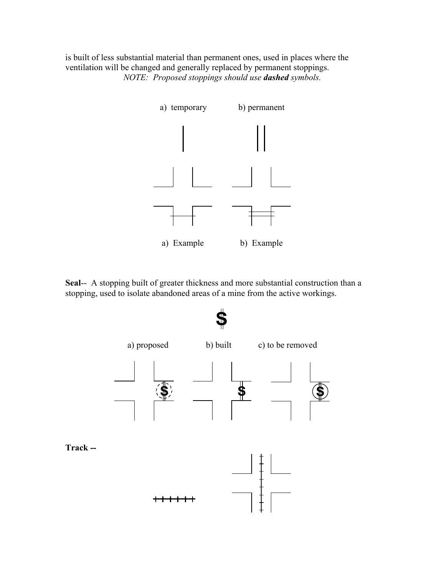is built of less substantial material than permanent ones, used in places where the ventilation will be changed and generally replaced by permanent stoppings. *NOTE: Proposed stoppings should use dashed symbols.* 



**Seal**-- A stopping built of greater thickness and more substantial construction than a stopping, used to isolate abandoned areas of a mine from the active workings.







**Track --**

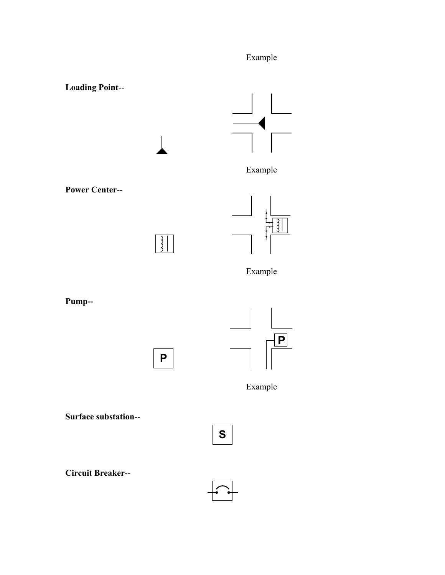## Example



**Power Center**--

 $\sqrt{\frac{3}{2}}$ 



Example

**Pump--** 

**P**



Example

**Surface substation**--

**Circuit Breaker**--



**S**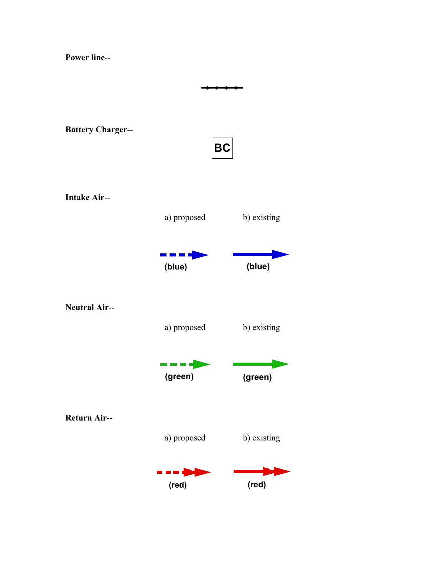**Power line**-- --**Battery Charger**-- **BC Intake Air**- a) proposed b) existing ----**(blue) (blue) Neutral Air**- a) proposed b) existing ----**(green) (green) Return Air**--

a) proposed b) existing

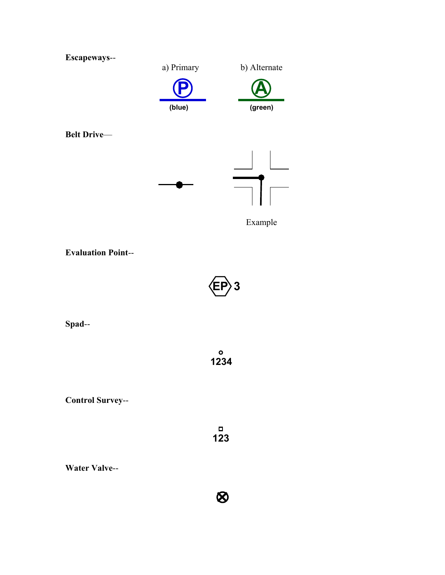

**Evaluation Point**--



**Spad**--

**1234**

**Control Survey**--

 $\blacksquare$ **123**

 $\otimes$ 

**Water Valve**--